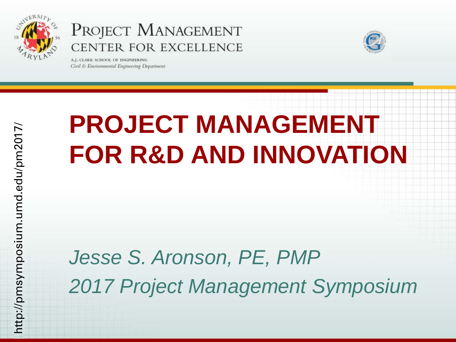

A.J. CLARK SCHOOL OF ENGINEERING Civil & Environmental Engineering Department



## **PROJECT MANAGEMENT FOR R&D AND INNOVATION**

### *Jesse S. Aronson, PE, PMP 2017 Project Management Symposium*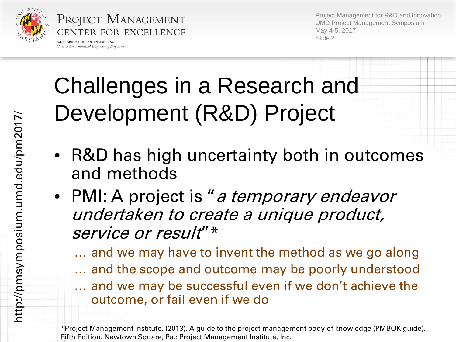

PROJECT MANAGEMENT CENTER FOR EXCELLENCE A.I. CLARK SCHOOL OF ENGINEERING

Civil & Environmental Engineering Department

Project Management for R&D and Innovation UMD Project Management Symposium May 4-5, 2017 Slide 2

## Challenges in a Research and Development (R&D) Project

- R&D has high uncertainty both in outcomes and methods
- PMI: A project is "a temporary endeavor undertaken to create a unique product, service or result"  $*$

… and we may have to invent the method as we go along … and the scope and outcome may be poorly understood … and we may be successful even if we don't achieve the outcome, or fail even if we do

<sup>\*</sup>Project Management Institute. (2013). A guide to the project management body of knowledge (PMBOK guide). Fifth Edition. Newtown Square, Pa.: Project Management Institute, Inc.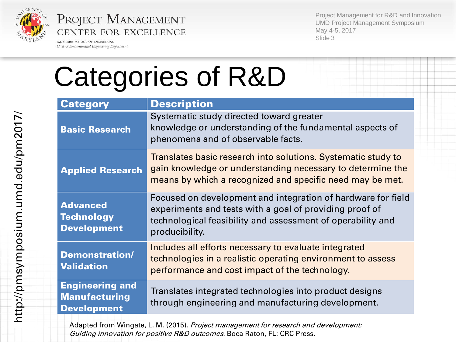

A.J. CLARK SCHOOL OF ENGINEERING Civil & Environmental Engineering Department

Project Management for R&D and Innovation UMD Project Management Symposium May 4-5, 2017 Slide 3

# Categories of R&D

| <b>Category</b>                                                      | <b>Description</b>                                                                                                                                                                                       |
|----------------------------------------------------------------------|----------------------------------------------------------------------------------------------------------------------------------------------------------------------------------------------------------|
| <b>Basic Research</b>                                                | Systematic study directed toward greater<br>knowledge or understanding of the fundamental aspects of<br>phenomena and of observable facts.                                                               |
| <b>Applied Research</b>                                              | Translates basic research into solutions. Systematic study to<br>gain knowledge or understanding necessary to determine the<br>means by which a recognized and specific need may be met.                 |
| <b>Advanced</b><br><b>Technology</b><br><b>Development</b>           | Focused on development and integration of hardware for field<br>experiments and tests with a goal of providing proof of<br>technological feasibility and assessment of operability and<br>producibility. |
| <b>Demonstration/</b><br><b>Validation</b>                           | Includes all efforts necessary to evaluate integrated<br>technologies in a realistic operating environment to assess<br>performance and cost impact of the technology.                                   |
| <b>Engineering and</b><br><b>Manufacturing</b><br><b>Development</b> | Translates integrated technologies into product designs<br>through engineering and manufacturing development.                                                                                            |

Adapted from Wingate, L. M. (2015). Project management for research and development: Guiding innovation for positive R&D outcomes. Boca Raton, FL: CRC Press.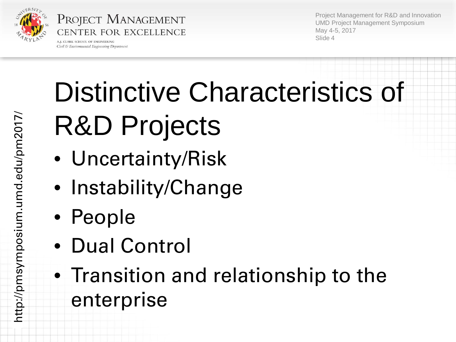

A.I. CLARK SCHOOL OF ENGINEERING Civil & Environmental Engineering Department

Project Management for R&D and Innovation UMD Project Management Symposium May 4-5, 2017 Slide 4

# Distinctive Characteristics of R&D Projects

- Uncertainty/Risk
- Instability/Change
- People
- Dual Control
- Transition and relationship to the enterprise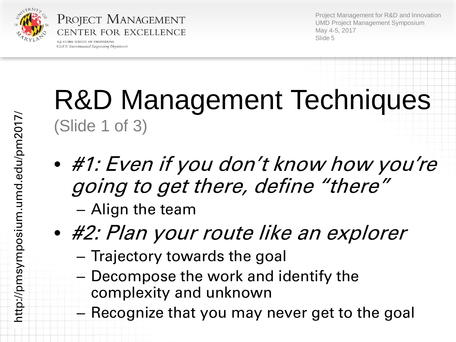

PROJECT MANAGEMENT CENTER FOR EXCELLENCE A.J. CLARK SCHOOL OF ENGINEERING

Civil & Environmental Engineering Department

Project Management for R&D and Innovation UMD Project Management Symposium May 4-5, 2017 Slide 5

## R&D Management Techniques (Slide 1 of 3)

- #1: Even if you don't know how you're going to get there, define "there"
	- Align the team
- #2: Plan your route like an explorer
	- Trajectory towards the goal
	- Decompose the work and identify the complexity and unknown
	- Recognize that you may never get to the goal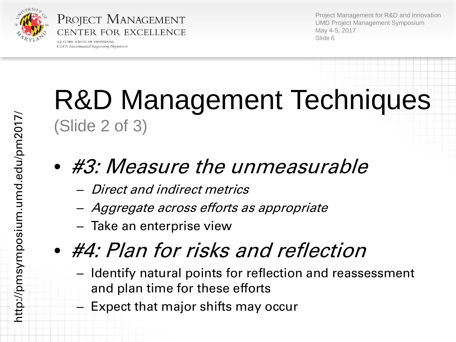

PROJECT MANAGEMENT CENTER FOR EXCELLENCE A.I. CLARK SCHOOL OF ENGINEERING

Civil & Environmental Engineering Department

Project Management for R&D and Innovation UMD Project Management Symposium May 4-5, 2017 Slide 6

## R&D Management Techniques (Slide 2 of 3)

#### • #3: Measure the unmeasurable

- Direct and indirect metrics
- Aggregate across efforts as appropriate
- Take an enterprise view

### • #4: Plan for risks and reflection

- Identify natural points for reflection and reassessment and plan time for these efforts
- Expect that major shifts may occur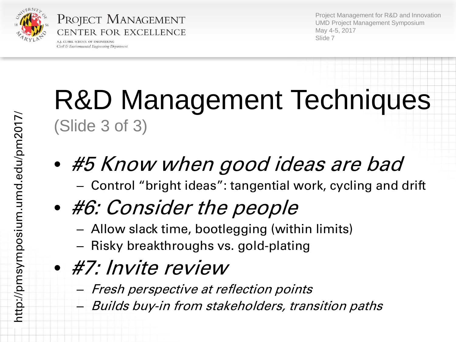

PROJECT MANAGEMENT CENTER FOR EXCELLENCE A.I. CLARK SCHOOL OF ENGINEERING

Civil & Environmental Engineering Department

Project Management for R&D and Innovation UMD Project Management Symposium May 4-5, 2017 Slide 7

## R&D Management Techniques (Slide 3 of 3)

- #5 Know when good ideas are bad – Control "bright ideas": tangential work, cycling and drift
- #6: Consider the people
	- Allow slack time, bootlegging (within limits)
	- Risky breakthroughs vs. gold-plating
- #7: Invite review
	- Fresh perspective at reflection points
	- Builds buy-in from stakeholders, transition paths